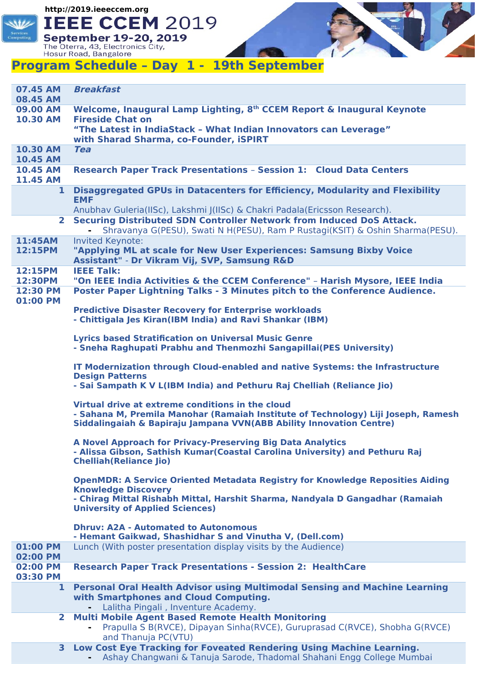**http://2019.ieeeccem.org**



**September 19-20, 2019**<br>The Oterra, 43, Electronics City,<br>Hosur Road, Bangalore

## **Program Schedule – Day 1 - 19th September**

| 07.45 AM<br>08.45 AM               | <b>Breakfast</b>                                                                                                                                                                                                                              |
|------------------------------------|-----------------------------------------------------------------------------------------------------------------------------------------------------------------------------------------------------------------------------------------------|
| 09.00 AM                           | Welcome, Inaugural Lamp Lighting, 8 <sup>th</sup> CCEM Report & Inaugural Keynote                                                                                                                                                             |
| <b>10.30 AM</b>                    | <b>Fireside Chat on</b><br>"The Latest in IndiaStack - What Indian Innovators can Leverage"                                                                                                                                                   |
| <b>10.30 AM</b>                    | with Sharad Sharma, co-Founder, iSPIRT<br><b>Tea</b>                                                                                                                                                                                          |
| <b>10.45 AM</b>                    |                                                                                                                                                                                                                                               |
| <b>10.45 AM</b><br><b>11.45 AM</b> | <b>Research Paper Track Presentations - Session 1: Cloud Data Centers</b>                                                                                                                                                                     |
| 1                                  | Disaggregated GPUs in Datacenters for Efficiency, Modularity and Flexibility<br><b>EMF</b>                                                                                                                                                    |
| 2 <sup>1</sup>                     | Anubhav Guleria(IISc), Lakshmi J(IISc) & Chakri Padala(Ericsson Research).<br>Securing Distributed SDN Controller Network from Induced DoS Attack.                                                                                            |
| 11:45AM                            | Shravanya G(PESU), Swati N H(PESU), Ram P Rustagi(KSIT) & Oshin Sharma(PESU).<br><b>Invited Keynote:</b>                                                                                                                                      |
| 12:15PM                            | "Applying ML at scale for New User Experiences: Samsung Bixby Voice<br>Assistant" - Dr Vikram Vij, SVP, Samsung R&D                                                                                                                           |
| 12:15PM<br>12:30PM                 | <b>IEEE Talk:</b><br>"On IEEE India Activities & the CCEM Conference" - Harish Mysore, IEEE India                                                                                                                                             |
| 12:30 PM                           | Poster Paper Lightning Talks - 3 Minutes pitch to the Conference Audience.                                                                                                                                                                    |
| 01:00 PM                           | <b>Predictive Disaster Recovery for Enterprise workloads</b><br>- Chittigala Jes Kiran(IBM India) and Ravi Shankar (IBM)                                                                                                                      |
|                                    | <b>Lyrics based Stratification on Universal Music Genre</b><br>- Sneha Raghupati Prabhu and Thenmozhi Sangapillai (PES University)                                                                                                            |
|                                    | IT Modernization through Cloud-enabled and native Systems: the Infrastructure<br><b>Design Patterns</b>                                                                                                                                       |
|                                    | - Sai Sampath K V L(IBM India) and Pethuru Raj Chelliah (Reliance Jio)                                                                                                                                                                        |
|                                    | Virtual drive at extreme conditions in the cloud<br>- Sahana M, Premila Manohar (Ramaiah Institute of Technology) Liji Joseph, Ramesh<br>Siddalingaiah & Bapiraju Jampana VVN(ABB Ability Innovation Centre)                                  |
|                                    | A Novel Approach for Privacy-Preserving Big Data Analytics<br>- Alissa Gibson, Sathish Kumar(Coastal Carolina University) and Pethuru Raj<br><b>Chelliah (Reliance Jio)</b>                                                                   |
|                                    | <b>OpenMDR: A Service Oriented Metadata Registry for Knowledge Reposities Aiding</b><br><b>Knowledge Discovery</b><br>- Chirag Mittal Rishabh Mittal, Harshit Sharma, Nandyala D Gangadhar (Ramaiah<br><b>University of Applied Sciences)</b> |
|                                    | <b>Dhruy: A2A - Automated to Autonomous</b><br>- Hemant Gaikwad, Shashidhar S and Vinutha V, (Dell.com)                                                                                                                                       |
| 01:00 PM<br>02:00 PM               | Lunch (With poster presentation display visits by the Audience)                                                                                                                                                                               |
| 02:00 PM<br>03:30 PM               | <b>Research Paper Track Presentations - Session 2: HealthCare</b>                                                                                                                                                                             |
| 1                                  | <b>Personal Oral Health Advisor using Multimodal Sensing and Machine Learning</b><br>with Smartphones and Cloud Computing.<br>Lalitha Pingali, Inventure Academy.                                                                             |
| $\mathbf{2}$                       | <b>Multi Mobile Agent Based Remote Health Monitoring</b><br>Prapulla S B(RVCE), Dipayan Sinha(RVCE), Guruprasad C(RVCE), Shobha G(RVCE)                                                                                                       |
| 3                                  | Low Cost Eye Tracking for Foveated Rendering Using Machine Learning.                                                                                                                                                                          |
|                                    | and Thanuja PC(VTU)<br>- Ashay Changwani & Tanuja Sarode, Thadomal Shahani Engg College Mumbai                                                                                                                                                |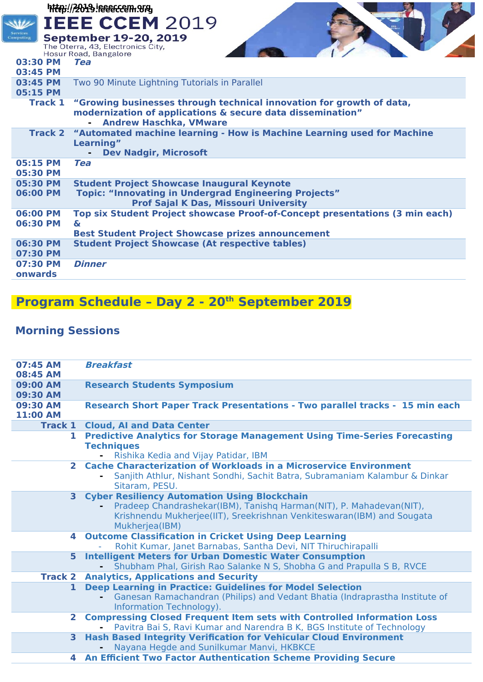## **http://2019.ieeeccem.orgIEEE CCEM 2019 September 19-20, 2019** The Oterra, 43, Electronics City, Hosur Road, Bangalore **03:30 PM Tea 03:45 PM 03:45 PM** Two 90 Minute Lightning Tutorials in Parallel **05:15 PM Track 1 "Growing businesses through technical innovation for growth of data, modernization of applications & secure data dissemination" - Andrew Haschka, VMware Track 2 "Automated machine learning - How is Machine Learning used for Machine Learning" - Dev Nadgir, Microsoft 05:15 PM Tea 05:30 PM 05:30 PM Student Project Showcase Inaugural Keynote 06:00 PM Topic: "Innovating in Undergrad Engineering Projects" Prof Sajal K Das, Missouri University 06:00 PM Top six Student Project showcase Proof-of-Concept presentations (3 min each) 06:30 PM & Best Student Project Showcase prizes announcement 06:30 PM Student Project Showcase (At respective tables) 07:30 PM 07:30 PM Dinner onwards**

## **Program Schedule – Day 2 - 20th September 2019**

## **Morning Sessions**

| 07:45 AM<br>08:45 AM        | <b>Breakfast</b>                                                                                                                                                                                                       |
|-----------------------------|------------------------------------------------------------------------------------------------------------------------------------------------------------------------------------------------------------------------|
| 09:00 AM<br>09:30 AM        | <b>Research Students Symposium</b>                                                                                                                                                                                     |
| 09:30 AM<br><b>11:00 AM</b> | <b>Research Short Paper Track Presentations - Two parallel tracks - 15 min each</b>                                                                                                                                    |
|                             | <b>Track 1 Cloud, AI and Data Center</b>                                                                                                                                                                               |
| 1.                          | <b>Predictive Analytics for Storage Management Using Time-Series Forecasting</b><br><b>Techniques</b><br>Rishika Kedia and Vijay Patidar, IBM                                                                          |
|                             | 2 Cache Characterization of Workloads in a Microservice Environment<br>Sanjith Athlur, Nishant Sondhi, Sachit Batra, Subramaniam Kalambur & Dinkar<br>Sitaram, PESU.                                                   |
| 3 <sup>1</sup>              | <b>Cyber Resiliency Automation Using Blockchain</b><br>Pradeep Chandrashekar(IBM), Tanishq Harman(NIT), P. Mahadevan(NIT),<br>Krishnendu Mukherjee(IIT), Sreekrishnan Venkiteswaran(IBM) and Sougata<br>Mukherjea(IBM) |
| 4                           | <b>Outcome Classification in Cricket Using Deep Learning</b><br>Rohit Kumar, Janet Barnabas, Santha Devi, NIT Thiruchirapalli                                                                                          |
|                             | 5 Intelligent Meters for Urban Domestic Water Consumption<br>Shubham Phal, Girish Rao Salanke N S, Shobha G and Prapulla S B, RVCE                                                                                     |
| <b>Track 2</b>              | <b>Analytics, Applications and Security</b>                                                                                                                                                                            |
| $\mathbf{1}$                | <b>Deep Learning in Practice: Guidelines for Model Selection</b><br>Ganesan Ramachandran (Philips) and Vedant Bhatia (Indraprastha Institute of<br>Information Technology).                                            |
| $\overline{2}$              | <b>Compressing Closed Frequent Item sets with Controlled Information Loss</b><br>Pavitra Bai S, Ravi Kumar and Narendra B K, BGS Institute of Technology                                                               |
| 3 <sup>1</sup>              | <b>Hash Based Integrity Verification for Vehicular Cloud Environment</b><br>Nayana Hegde and Sunilkumar Manvi, HKBKCE                                                                                                  |
| 4                           | <b>An Efficient Two Factor Authentication Scheme Providing Secure</b>                                                                                                                                                  |